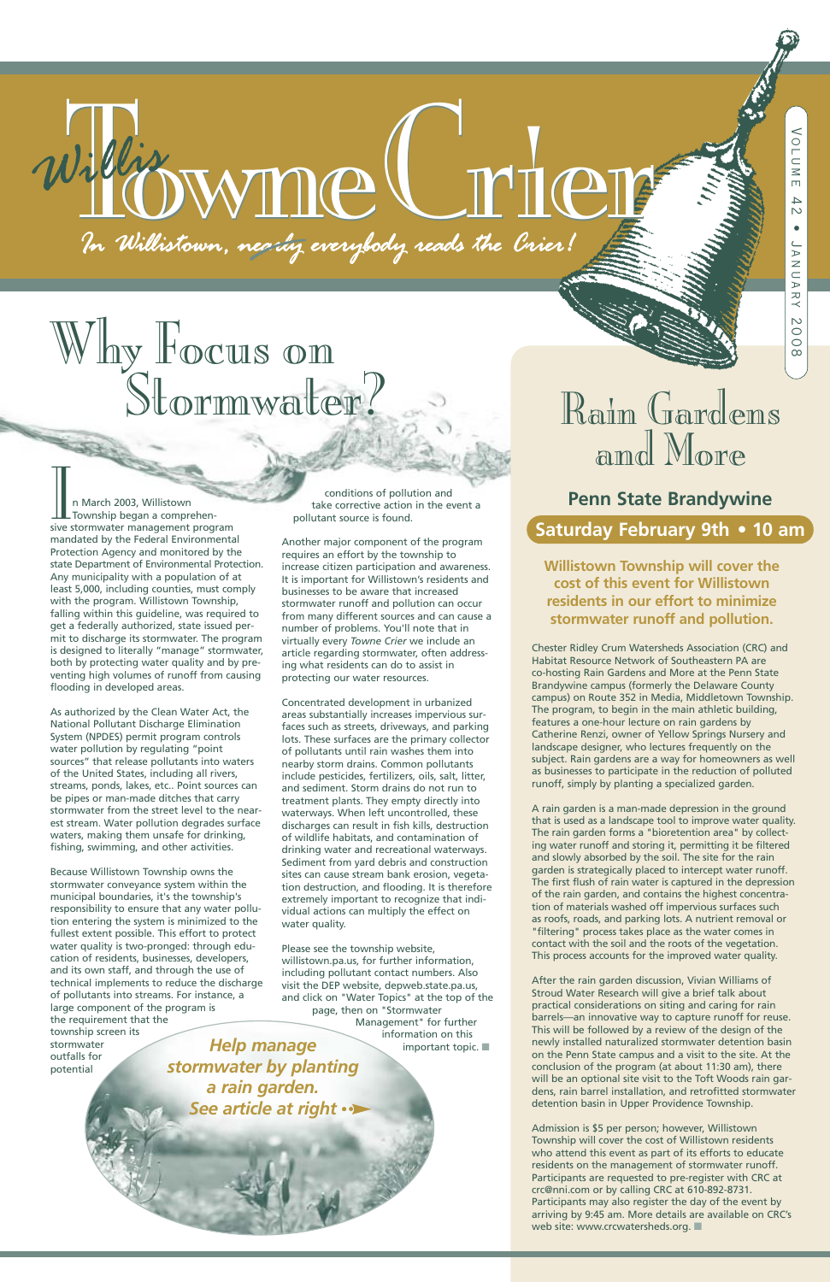# 1. Withistown, nearing everybody reads the Crier!

# Why Focus on<br>Stormwater? Rain Gardens

Chester Ridley Crum Watersheds Association (CRC) and Habitat Resource Network of Southeastern PA are co-hosting Rain Gardens and More at the Penn State Brandywine campus (formerly the Delaware County campus) on Route 352 in Media, Middletown Township. The program, to begin in the main athletic building, features a one-hour lecture on rain gardens by Catherine Renzi, owner of Yellow Springs Nursery and landscape designer, who lectures frequently on the subject. Rain gardens are a way for homeowners as well as businesses to participate in the reduction of polluted runoff, simply by planting a specialized garden.

A rain garden is a man-made depression in the ground that is used as a landscape tool to improve water quality. The rain garden forms a "bioretention area" by collecting water runoff and storing it, permitting it be filtered and slowly absorbed by the soil. The site for the rain garden is strategically placed to intercept water runoff. The first flush of rain water is captured in the depression of the rain garden, and contains the highest concentration of materials washed off impervious surfaces such as roofs, roads, and parking lots. A nutrient removal or "filtering" process takes place as the water comes in contact with the soil and the roots of the vegetation. This process accounts for the improved water quality.

IM<br>
In March 2003, Willistown<br>
Township began a comprehen-<br>
sive stormwater management program Township began a comprehenmandated by the Federal Environmental Protection Agency and monitored by the state Department of Environmental Protection. Any municipality with a population of at least 5,000, including counties, must comply with the program. Willistown Township, falling within this guideline, was required to get a federally authorized, state issued permit to discharge its stormwater. The program is designed to literally "manage" stormwater, both by protecting water quality and by preventing high volumes of runoff from causing flooding in developed areas.

> After the rain garden discussion, Vivian Williams of Stroud Water Research will give a brief talk about practical considerations on siting and caring for rain barrels—an innovative way to capture runoff for reuse. This will be followed by a review of the design of the newly installed naturalized stormwater detention basin on the Penn State campus and a visit to the site. At the conclusion of the program (at about 11:30 am), there will be an optional site visit to the Toft Woods rain gardens, rain barrel installation, and retrofitted stormwater detention basin in Upper Providence Township.

Admission is \$5 per person; however, Willistown Township will cover the cost of Willistown residents who attend this event as part of its efforts to educate residents on the management of stormwater runoff. Participants are requested to pre-register with CRC at crc@nni.com or by calling CRC at 610-892-8731. Participants may also register the day of the event by arriving by 9:45 am. More details are available on CRC's web site: www.crcwatersheds.org. **■**

As authorized by the Clean Water Act, the National Pollutant Discharge Elimination System (NPDES) permit program controls water pollution by regulating "point sources" that release pollutants into waters of the United States, including all rivers, streams, ponds, lakes, etc.. Point sources can be pipes or man-made ditches that carry stormwater from the street level to the nearest stream. Water pollution degrades surface waters, making them unsafe for drinking, fishing, swimming, and other activities.

conditions of pollution and take corrective action in the event a pollutant source is found.

Another major component of the program requires an effort by the township to increase citizen participation and awareness. It is important for Willistown's residents and businesses to be aware that increased stormwater runoff and pollution can occur from many different sources and can cause a number of problems. You'll note that in virtually every *Towne Crier* we include an article regarding stormwater, often addressing what residents can do to assist in protecting our water resources.

Because Willistown Township owns the stormwater conveyance system within the municipal boundaries, it's the township's responsibility to ensure that any water pollution entering the system is minimized to the fullest extent possible. This effort to protect water quality is two-pronged: through education of residents, businesses, developers, and its own staff, and through the use of technical implements to reduce the discharge of pollutants into streams. For instance, a large component of the program is the requirement that the township screen its stormwater outfalls for potential water quality. *Help manage stormwater by planting a rain garden. See article at right*

Concentrated development in urbanized areas substantially increases impervious surfaces such as streets, driveways, and parking lots. These surfaces are the primary collector of pollutants until rain washes them into nearby storm drains. Common pollutants include pesticides, fertilizers, oils, salt, litter, and sediment. Storm drains do not run to treatment plants. They empty directly into waterways. When left uncontrolled, these discharges can result in fish kills, destruction of wildlife habitats, and contamination of drinking water and recreational waterways. Sediment from yard debris and construction sites can cause stream bank erosion, vegetation destruction, and flooding. It is therefore extremely important to recognize that individual actions can multiply the effect on

Please see the township website, willistown.pa.us, for further information, including pollutant contact numbers. Also visit the DEP website, depweb.state.pa.us, and click on "Water Topics" at the top of the page, then on "Stormwater Management" for further information on this important topic. **■**

# and More

**Penn State Brandywine Saturday February 9th • 10 am**

**Willistown Township will cover the cost of this event for Willistown residents in our effort to minimize stormwater runoff and pollution.**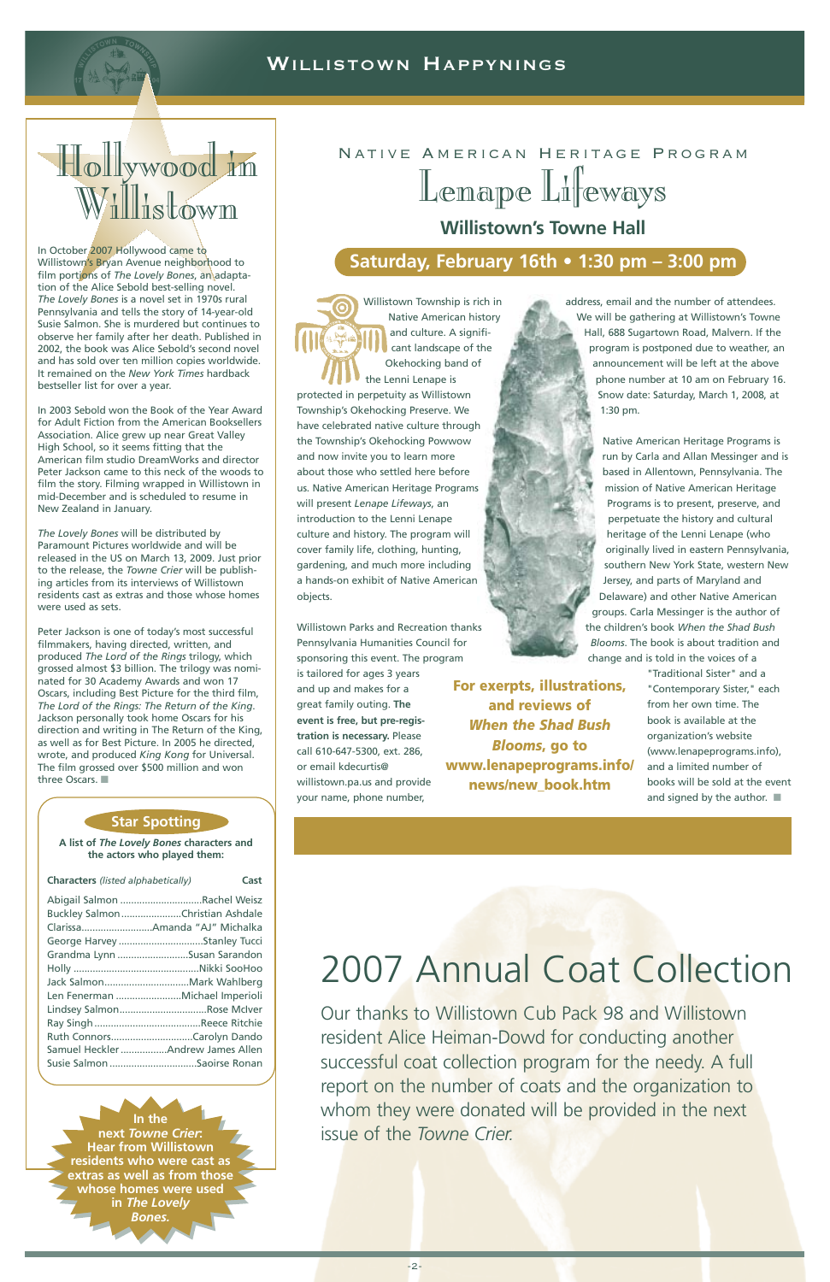

### WILLISTOWN HAPPYNINGS

# Native American Heritage Program Lenape Lifeways **Willistown's Towne Hall**

## **Saturday, February 16th • 1:30 pm – 3:00 pm**

Willistown Township is rich in Native American history and culture. A significant landscape of the Okehocking band of the Lenni Lenape is protected in perpetuity as Willistown Township's Okehocking Preserve. We have celebrated native culture through the Township's Okehocking Powwow and now invite you to learn more about those who settled here before us. Native American Heritage Programs will present *Lenape Lifeways*, an introduction to the Lenni Lenape culture and history. The program will cover family life, clothing, hunting, gardening, and much more including a hands-on exhibit of Native American objects.

Willistown Parks and Recreation thanks Pennsylvania Humanities Council for sponsoring this event. The program is tailored for ages 3 years and up and makes for a great family outing. **The event is free, but pre-registration is necessary.** Please call 610-647-5300, ext. 286, or email kdecurtis@ willistown.pa.us and provide your name, phone number,

address, email and the number of attendees. We will be gathering at Willistown's Towne Hall, 688 Sugartown Road, Malvern. If the program is postponed due to weather, an announcement will be left at the above phone number at 10 am on February 16. Snow date: Saturday, March 1, 2008, at 1:30 pm.

Native American Heritage Programs is run by Carla and Allan Messinger and is based in Allentown, Pennsylvania. The mission of Native American Heritage Programs is to present, preserve, and perpetuate the history and cultural heritage of the Lenni Lenape (who originally lived in eastern Pennsylvania, southern New York State, western New Jersey, and parts of Maryland and Delaware) and other Native American groups. Carla Messinger is the author of the children's book *When the Shad Bush Blooms*. The book is about tradition and change and is told in the voices of a

> "Traditional Sister" and a "Contemporary Sister," each from her own time. The book is available at the organization's website (www.lenapeprograms.info), and a limited number of books will be sold at the event and signed by the author. **■**

In October 2007 Hollywood came to Willistown's Bryan Avenue neighborhood to film portions of *The Lovely Bones*, an adaptation of the Alice Sebold best-selling novel. *The Lovely Bones* is a novel set in 1970s rural Pennsylvania and tells the story of 14-year-old Susie Salmon. She is murdered but continues to observe her family after her death. Published in 2002, the book was Alice Sebold's second novel and has sold over ten million copies worldwide. It remained on the *New York Times* hardback bestseller list for over a year.

In 2003 Sebold won the Book of the Year Award for Adult Fiction from the American Booksellers Association. Alice grew up near Great Valley High School, so it seems fitting that the American film studio DreamWorks and director Peter Jackson came to this neck of the woods to film the story. Filming wrapped in Willistown in mid-December and is scheduled to resume in New Zealand in January.

*The Lovely Bones* will be distributed by Paramount Pictures worldwide and will be released in the US on March 13, 2009. Just prior to the release, the *Towne Crier* will be publishing articles from its interviews of Willistown residents cast as extras and those whose homes were used as sets.

Peter Jackson is one of today's most successful filmmakers, having directed, written, and produced *The Lord of the Rings* trilogy, which grossed almost \$3 billion. The trilogy was nominated for 30 Academy Awards and won 17 Oscars, including Best Picture for the third film, *The Lord of the Rings: The Return of the King*. Jackson personally took home Oscars for his direction and writing in The Return of the King, as well as for Best Picture. In 2005 he directed, wrote, and produced *King Kong* for Universal. The film grossed over \$500 million and won three Oscars. **■**

#### **Star Spotting**

**A list of** *The Lovely Bones* **characters and the actors who played them:**

| <b>Characters</b> (listed alphabetically) | Cast |
|-------------------------------------------|------|
| Abigail Salmon Rachel Weisz               |      |
| Buckley SalmonChristian Ashdale           |      |
|                                           |      |
| George Harvey Stanley Tucci               |      |
| Grandma Lynn Susan Sarandon               |      |
|                                           |      |
| Jack SalmonMark Wahlberg                  |      |
| Len Fenerman Michael Imperioli            |      |
| Lindsey SalmonRose McIver                 |      |
|                                           |      |
| Ruth ConnorsCarolyn Dando                 |      |
| Samuel Heckler Andrew James Allen         |      |
| Susie Salmon Saoirse Ronan                |      |

# Hollywood in Willistown

**In the next** *Towne Crier***: Hear from Willistown residents who were cast as extras as well as from those whose homes were used in** *The Lovely Bones.*

# 2007 Annual Coat Collection

Our thanks to Willistown Cub Pack 98 and Willistown resident Alice Heiman-Dowd for conducting another successful coat collection program for the needy. A full report on the number of coats and the organization to whom they were donated will be provided in the next issue of the *Towne Crier.*

**For exerpts, illustrations, and reviews of**  *When the Shad Bush Blooms***, go to www.lenapeprograms.info/ news/new\_book.htm**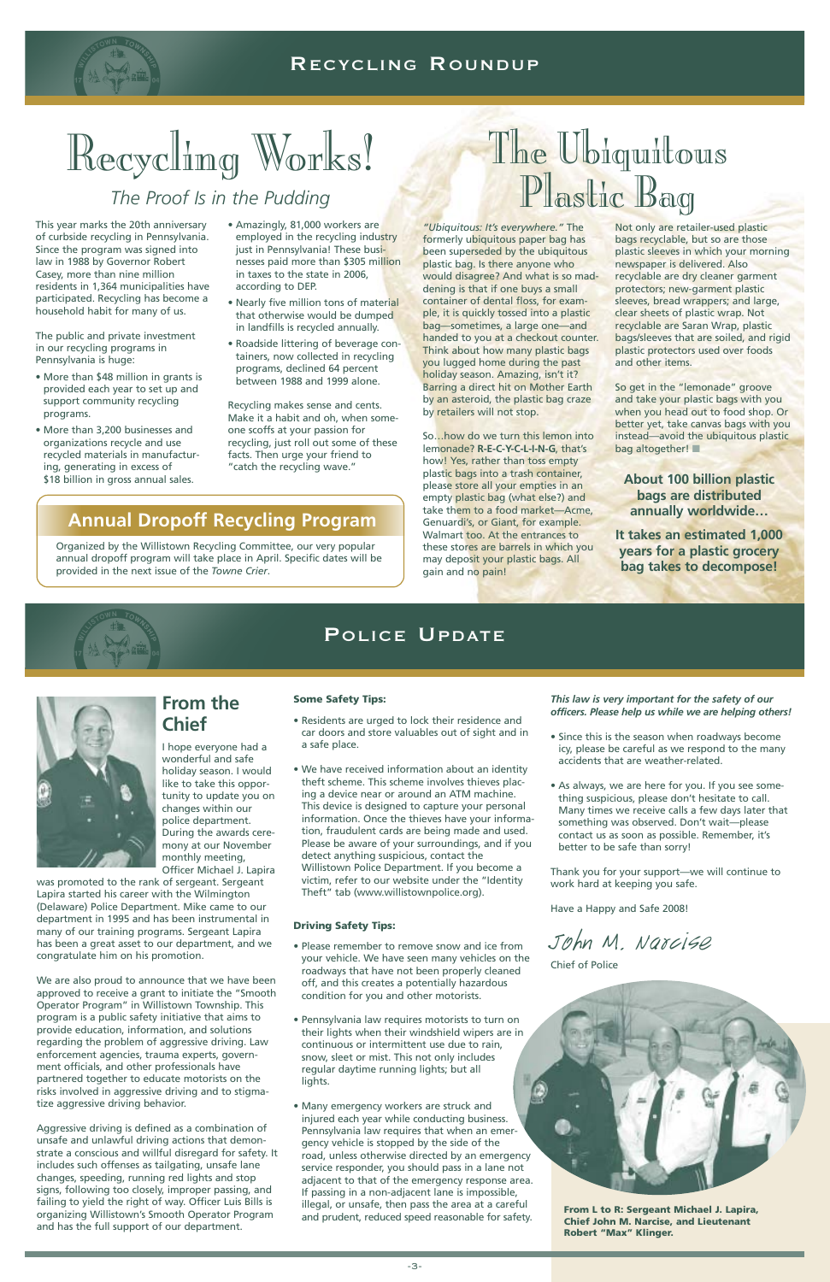

### RECYCLING ROUNDUP

# Recycling Works!

*"Ubiquitous: It's everywhere."* The formerly ubiquitous paper bag has been superseded by the ubiquitous plastic bag. Is there anyone who would disagree? And what is so maddening is that if one buys a small container of dental floss, for example, it is quickly tossed into a plastic bag—sometimes, a large one—and handed to you at a checkout counter. Think about how many plastic bags you lugged home during the past holiday season. Amazing, isn't it? Barring a direct hit on Mother Earth by an asteroid, the plastic bag craze by retailers will not stop.

So…how do we turn this lemon into lemonade? **R-E-C-Y-C-L-I-N-G**, that's how! Yes, rather than toss empty plastic bags into a trash container, please store all your empties in an empty plastic bag (what else?) and take them to a food market—Acme, Genuardi's, or Giant, for example. Walmart too. At the entrances to these stores are barrels in which you may deposit your plastic bags. All gain and no pain!

Not only are retailer-used plastic bags recyclable, but so are those plastic sleeves in which your morning newspaper is delivered. Also recyclable are dry cleaner garment protectors; new-garment plastic sleeves, bread wrappers; and large, clear sheets of plastic wrap. Not recyclable are Saran Wrap, plastic bags/sleeves that are soiled, and rigid plastic protectors used over foods and other items.

We are also proud to announce that we have been approved to receive a grant to initiate the "Smooth Operator Program" in Willistown Township. This program is a public safety initiative that aims to provide education, information, and solutions regarding the problem of aggressive driving. Law enforcement agencies, trauma experts, government officials, and other professionals have partnered together to educate motorists on the risks involved in aggressive driving and to stigmatize aggressive driving behavior.

So get in the "lemonade" groove and take your plastic bags with you when you head out to food shop. Or better yet, take canvas bags with you instead—avoid the ubiquitous plastic bag altogether! **■**

**About 100 billion plastic bags are distributed annually worldwide…**

**It takes an estimated 1,000 years for a plastic grocery bag takes to decompose!**



## **From the Chief**

I hope everyone had a wonderful and safe holiday season. I would like to take this opportunity to update you on changes within our police department. During the awards ceremony at our November monthly meeting, Officer Michael J. Lapira

was promoted to the rank of sergeant. Sergeant Lapira started his career with the Wilmington (Delaware) Police Department. Mike came to our department in 1995 and has been instrumental in many of our training programs. Sergeant Lapira has been a great asset to our department, and we congratulate him on his promotion.

- More than \$48 million in grants is provided each year to set up and support community recycling programs.
- More than 3,200 businesses and organizations recycle and use recycled materials in manufacturing, generating in excess of \$18 billion in gross annual sales.

Aggressive driving is defined as a combination of unsafe and unlawful driving actions that demonstrate a conscious and willful disregard for safety. It includes such offenses as tailgating, unsafe lane changes, speeding, running red lights and stop signs, following too closely, improper passing, and failing to yield the right of way. Officer Luis Bills is organizing Willistown's Smooth Operator Program and has the full support of our department.

#### **Some Safety Tips:**

- Residents are urged to lock their residence and car doors and store valuables out of sight and in a safe place.
- We have received information about an identity theft scheme. This scheme involves thieves placing a device near or around an ATM machine. This device is designed to capture your personal information. Once the thieves have your information, fraudulent cards are being made and used. Please be aware of your surroundings, and if you detect anything suspicious, contact the Willistown Police Department. If you become a victim, refer to our website under the "Identity Theft" tab (www.willistownpolice.org).

#### **Driving Safety Tips:**

- Please remember to remove snow and ice from your vehicle. We have seen many vehicles on the roadways that have not been properly cleaned off, and this creates a potentially hazardous condition for you and other motorists.
- Pennsylvania law requires motorists to turn on their lights when their windshield wipers are in continuous or intermittent use due to rain, snow, sleet or mist. This not only includes regular daytime running lights; but all lights.
- Many emergency workers are struck and injured each year while conducting business. Pennsylvania law requires that when an emergency vehicle is stopped by the side of the road, unless otherwise directed by an emergency service responder, you should pass in a lane not adjacent to that of the emergency response area. If passing in a non-adjacent lane is impossible, illegal, or unsafe, then pass the area at a careful and prudent, reduced speed reasonable for safety.

*This law is very important for the safety of our officers. Please help us while we are helping others!*

- Since this is the season when roadways become icy, please be careful as we respond to the many accidents that are weather-related.
- As always, we are here for you. If you see something suspicious, please don't hesitate to call. Many times we receive calls a few days later that something was observed. Don't wait—please contact us as soon as possible. Remember, it's better to be safe than sorry!

Thank you for your support—we will continue to work hard at keeping you safe.

Have a Happy and Safe 2008!

John M. Narcise

#### Chief of Police



## *The Proof Is in the Pudding*

This year marks the 20th anniversary of curbside recycling in Pennsylvania. Since the program was signed into law in 1988 by Governor Robert Casey, more than nine million residents in 1,364 municipalities have participated. Recycling has become a household habit for many of us.

The public and private investment in our recycling programs in Pennsylvania is huge:

- Amazingly, 81,000 workers are employed in the recycling industry just in Pennsylvania! These businesses paid more than \$305 million in taxes to the state in 2006, according to DEP.
- Nearly five million tons of material that otherwise would be dumped in landfills is recycled annually.
- Roadside littering of beverage containers, now collected in recycling programs, declined 64 percent between 1988 and 1999 alone.

Recycling makes sense and cents. Make it a habit and oh, when someone scoffs at your passion for recycling, just roll out some of these facts. Then urge your friend to "catch the recycling wave."

> **From L to R: Sergeant Michael J. Lapira, Chief John M. Narcise, and Lieutenant Robert "Max" Klinger.**

## POLICE UPDATE



## **Annual Dropoff Recycling Program**

Organized by the Willistown Recycling Committee, our very popular annual dropoff program will take place in April. Specific dates will be provided in the next issue of the *Towne Crier*.

# The Ubiquitous Plastic Bag